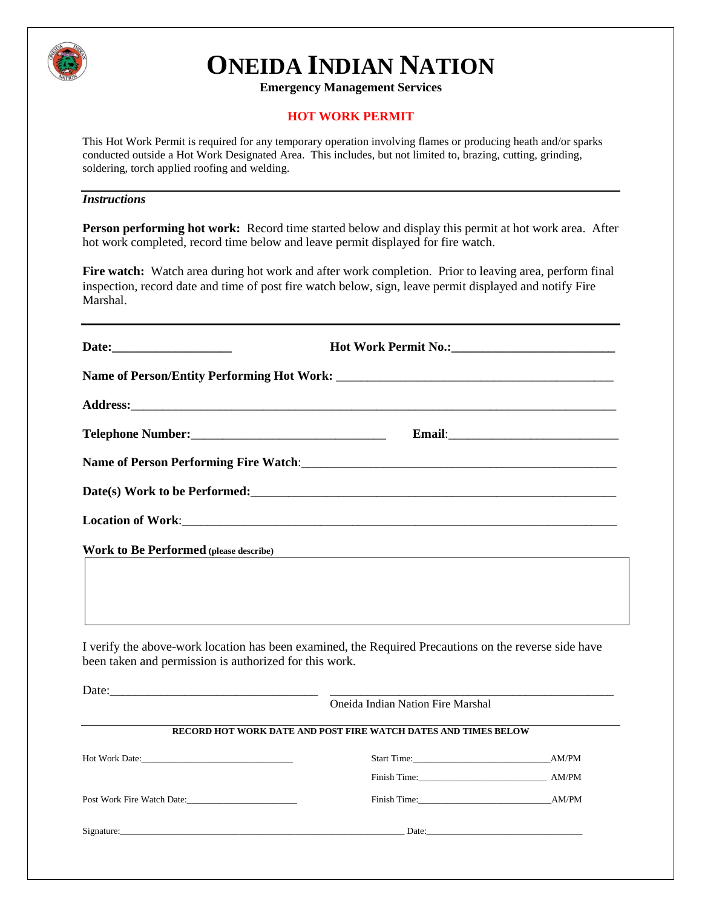

# **ONEIDA INDIAN NATION**

**Emergency Management Services**

#### **HOT WORK PERMIT**

This Hot Work Permit is required for any temporary operation involving flames or producing heath and/or sparks conducted outside a Hot Work Designated Area. This includes, but not limited to, brazing, cutting, grinding, soldering, torch applied roofing and welding.

#### *Instructions*

**Person performing hot work:** Record time started below and display this permit at hot work area. After hot work completed, record time below and leave permit displayed for fire watch.

Fire watch: Watch area during hot work and after work completion. Prior to leaving area, perform final inspection, record date and time of post fire watch below, sign, leave permit displayed and notify Fire Marshal.

|                                                                                                                                                                                                                                       | Hot Work Permit No.: 1988 1998 1999                                                                                  |  |
|---------------------------------------------------------------------------------------------------------------------------------------------------------------------------------------------------------------------------------------|----------------------------------------------------------------------------------------------------------------------|--|
|                                                                                                                                                                                                                                       |                                                                                                                      |  |
|                                                                                                                                                                                                                                       |                                                                                                                      |  |
|                                                                                                                                                                                                                                       |                                                                                                                      |  |
|                                                                                                                                                                                                                                       |                                                                                                                      |  |
| Date(s) Work to be Performed:<br><u>Letters</u> and the set of the set of the set of the set of the set of the set of the set of the set of the set of the set of the set of the set of the set of the set of the set of the set of t |                                                                                                                      |  |
|                                                                                                                                                                                                                                       |                                                                                                                      |  |
| <b>Work to Be Performed (please describe)</b>                                                                                                                                                                                         | <u> 1989 - Johann Stein, mars an deutscher Stein und der Stein und der Stein und der Stein und der Stein und der</u> |  |
| I verify the above-work location has been examined, the Required Precautions on the reverse side have<br>been taken and permission is authorized for this work.                                                                       |                                                                                                                      |  |
| Date:                                                                                                                                                                                                                                 | Oneida Indian Nation Fire Marshal                                                                                    |  |
|                                                                                                                                                                                                                                       | RECORD HOT WORK DATE AND POST FIRE WATCH DATES AND TIMES BELOW                                                       |  |
|                                                                                                                                                                                                                                       |                                                                                                                      |  |
|                                                                                                                                                                                                                                       | Finish Time: AM/PM                                                                                                   |  |
| Post Work Fire Watch Date:                                                                                                                                                                                                            | Finish Time: AM/PM                                                                                                   |  |
|                                                                                                                                                                                                                                       |                                                                                                                      |  |
|                                                                                                                                                                                                                                       |                                                                                                                      |  |